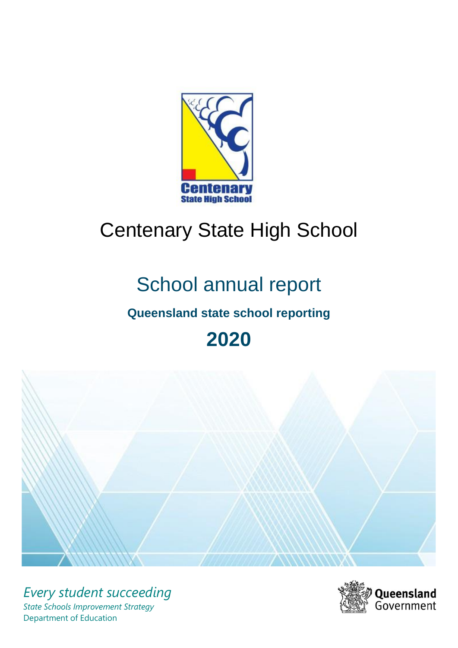

# Centenary State High School

# School annual report

# **Queensland state school reporting**

**2020**



*Every student succeeding State Schools Improvement Strategy* Department of Education

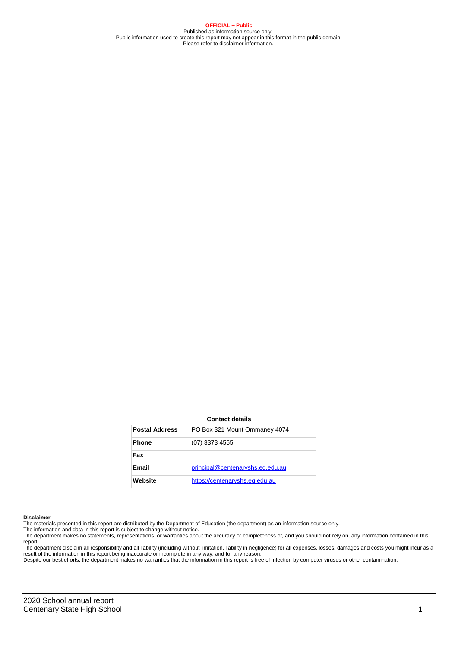**OFFICIAL – Public** Published as information source only. Public information used to create this report may not appear in this format in the public domain Please refer to disclaimer information.

#### **Contact details**

| <b>Postal Address</b> | PO Box 321 Mount Ommaney 4074    |
|-----------------------|----------------------------------|
| <b>Phone</b>          | $(07)$ 3373 4555                 |
| Fax                   |                                  |
| Email                 | principal@centenaryshs.eq.edu.au |
| Website               | https://centenaryshs.eq.edu.au   |

#### **Disclaimer**

The materials presented in this report are distributed by the Department of Education (the department) as an information source only. The information and data in this report is subject to change without notice.

The department makes no statements, representations, or warranties about the accuracy or completeness of, and you should not rely on, any information contained in this report.

The department disclaim all responsibility and all liability (including without limitation, liability in negligence) for all expenses, losses, damages and costs you might incur as a<br>result of the information in this report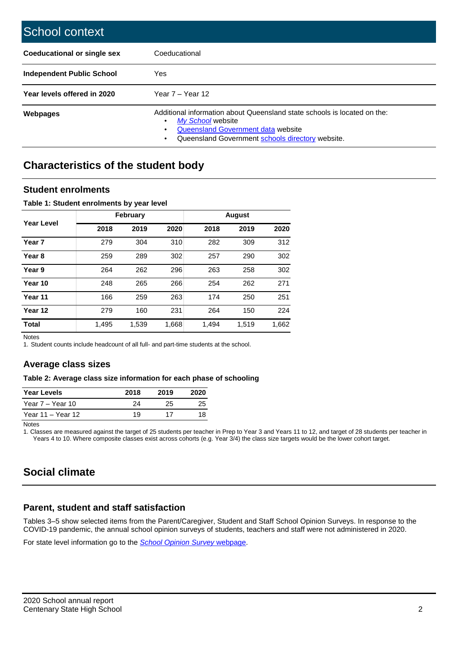| School context                   |                                                                                                                                                                                              |
|----------------------------------|----------------------------------------------------------------------------------------------------------------------------------------------------------------------------------------------|
| Coeducational or single sex      | Coeducational                                                                                                                                                                                |
| <b>Independent Public School</b> | Yes                                                                                                                                                                                          |
| Year levels offered in 2020      | Year $7 -$ Year 12                                                                                                                                                                           |
| <b>Webpages</b>                  | Additional information about Queensland state schools is located on the:<br>My School website<br>٠<br>Queensland Government data website<br>Queensland Government schools directory website. |

## **Characteristics of the student body**

### **Student enrolments**

### **Table 1: Student enrolments by year level**

|                   |       | <b>February</b> |       |       |       |       |
|-------------------|-------|-----------------|-------|-------|-------|-------|
| <b>Year Level</b> | 2018  | 2019            | 2020  | 2018  | 2019  | 2020  |
| Year 7            | 279   | 304             | 310   | 282   | 309   | 312   |
| Year <sub>8</sub> | 259   | 289             | 302   | 257   | 290   | 302   |
| Year 9            | 264   | 262             | 296   | 263   | 258   | 302   |
| Year 10           | 248   | 265             | 266   | 254   | 262   | 271   |
| Year 11           | 166   | 259             | 263   | 174   | 250   | 251   |
| Year 12           | 279   | 160             | 231   | 264   | 150   | 224   |
| <b>Total</b>      | 1,495 | 1,539           | 1,668 | 1,494 | 1,519 | 1,662 |

Notes

1. Student counts include headcount of all full- and part-time students at the school.

### **Average class sizes**

### **Table 2: Average class size information for each phase of schooling**

| <b>Year Levels</b> | 2018 | 2019 | 2020 |
|--------------------|------|------|------|
| Year 7 – Year 10   | 24   | 25   | 25   |
| Year 11 – Year 12  | 19   | 17   | 18   |

Notes

1. Classes are measured against the target of 25 students per teacher in Prep to Year 3 and Years 11 to 12, and target of 28 students per teacher in Years 4 to 10. Where composite classes exist across cohorts (e.g. Year 3/4) the class size targets would be the lower cohort target.

# **Social climate**

### **Parent, student and staff satisfaction**

Tables 3–5 show selected items from the Parent/Caregiver, Student and Staff School Opinion Surveys. In response to the COVID-19 pandemic, the annual school opinion surveys of students, teachers and staff were not administered in 2020.

For state level information go to the *[School Opinion Survey](https://qed.qld.gov.au/publications/reports/statistics/schooling/schools/schoolopinionsurvey)* [webpage.](https://qed.qld.gov.au/publications/reports/statistics/schooling/schools/schoolopinionsurvey)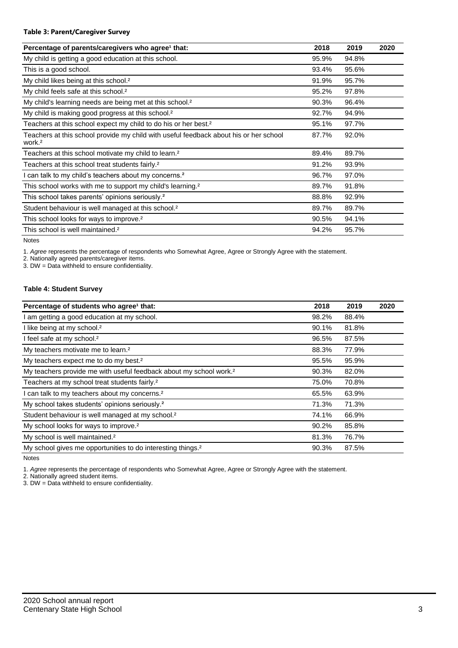### **Table 3: Parent/Caregiver Survey**

| Percentage of parents/caregivers who agree <sup>1</sup> that:                                               | 2018  | 2019  | 2020 |
|-------------------------------------------------------------------------------------------------------------|-------|-------|------|
| My child is getting a good education at this school.                                                        | 95.9% | 94.8% |      |
| This is a good school.                                                                                      | 93.4% | 95.6% |      |
| My child likes being at this school. <sup>2</sup>                                                           | 91.9% | 95.7% |      |
| My child feels safe at this school. <sup>2</sup>                                                            | 95.2% | 97.8% |      |
| My child's learning needs are being met at this school. <sup>2</sup>                                        | 90.3% | 96.4% |      |
| My child is making good progress at this school. <sup>2</sup>                                               | 92.7% | 94.9% |      |
| Teachers at this school expect my child to do his or her best. <sup>2</sup>                                 | 95.1% | 97.7% |      |
| Teachers at this school provide my child with useful feedback about his or her school<br>work. <sup>2</sup> | 87.7% | 92.0% |      |
| Teachers at this school motivate my child to learn. <sup>2</sup>                                            | 89.4% | 89.7% |      |
| Teachers at this school treat students fairly. <sup>2</sup>                                                 | 91.2% | 93.9% |      |
| I can talk to my child's teachers about my concerns. <sup>2</sup>                                           | 96.7% | 97.0% |      |
| This school works with me to support my child's learning. <sup>2</sup>                                      | 89.7% | 91.8% |      |
| This school takes parents' opinions seriously. <sup>2</sup>                                                 | 88.8% | 92.9% |      |
| Student behaviour is well managed at this school. <sup>2</sup>                                              | 89.7% | 89.7% |      |
| This school looks for ways to improve. <sup>2</sup>                                                         | 90.5% | 94.1% |      |
| This school is well maintained. <sup>2</sup>                                                                | 94.2% | 95.7% |      |

Notes

1. *Agree* represents the percentage of respondents who Somewhat Agree, Agree or Strongly Agree with the statement.

2. Nationally agreed parents/caregiver items.

3. DW = Data withheld to ensure confidentiality.

### **Table 4: Student Survey**

| Percentage of students who agree <sup>1</sup> that:                            | 2018  | 2019  | 2020 |
|--------------------------------------------------------------------------------|-------|-------|------|
| I am getting a good education at my school.                                    | 98.2% | 88.4% |      |
| I like being at my school. <sup>2</sup>                                        | 90.1% | 81.8% |      |
| I feel safe at my school. <sup>2</sup>                                         | 96.5% | 87.5% |      |
| My teachers motivate me to learn. <sup>2</sup>                                 | 88.3% | 77.9% |      |
| My teachers expect me to do my best. <sup>2</sup>                              | 95.5% | 95.9% |      |
| My teachers provide me with useful feedback about my school work. <sup>2</sup> | 90.3% | 82.0% |      |
| Teachers at my school treat students fairly. <sup>2</sup>                      | 75.0% | 70.8% |      |
| I can talk to my teachers about my concerns. <sup>2</sup>                      | 65.5% | 63.9% |      |
| My school takes students' opinions seriously. <sup>2</sup>                     | 71.3% | 71.3% |      |
| Student behaviour is well managed at my school. <sup>2</sup>                   | 74.1% | 66.9% |      |
| My school looks for ways to improve. <sup>2</sup>                              | 90.2% | 85.8% |      |
| My school is well maintained. <sup>2</sup>                                     | 81.3% | 76.7% |      |
| My school gives me opportunities to do interesting things. <sup>2</sup>        | 90.3% | 87.5% |      |

Notes

1. *Agree* represents the percentage of respondents who Somewhat Agree, Agree or Strongly Agree with the statement.

2. Nationally agreed student items.

3. DW = Data withheld to ensure confidentiality.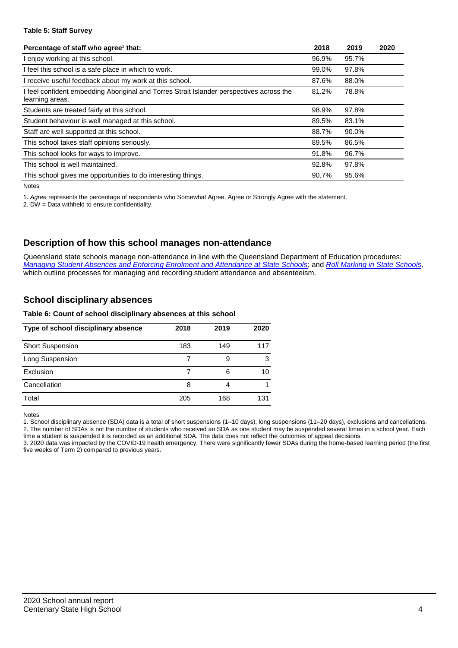### **Table 5: Staff Survey**

| Percentage of staff who agree <sup>1</sup> that:                                                            | 2018  | 2019  | 2020 |
|-------------------------------------------------------------------------------------------------------------|-------|-------|------|
| I enjoy working at this school.                                                                             | 96.9% | 95.7% |      |
| I feel this school is a safe place in which to work.                                                        | 99.0% | 97.8% |      |
| I receive useful feedback about my work at this school.                                                     | 87.6% | 88.0% |      |
| I feel confident embedding Aboriginal and Torres Strait Islander perspectives across the<br>learning areas. | 81.2% | 78.8% |      |
| Students are treated fairly at this school.                                                                 | 98.9% | 97.8% |      |
| Student behaviour is well managed at this school.                                                           | 89.5% | 83.1% |      |
| Staff are well supported at this school.                                                                    | 88.7% | 90.0% |      |
| This school takes staff opinions seriously.                                                                 | 89.5% | 86.5% |      |
| This school looks for ways to improve.                                                                      | 91.8% | 96.7% |      |
| This school is well maintained.                                                                             | 92.8% | 97.8% |      |
| This school gives me opportunities to do interesting things.                                                | 90.7% | 95.6% |      |

Notes

1. *Agree* represents the percentage of respondents who Somewhat Agree, Agree or Strongly Agree with the statement.

2. DW = Data withheld to ensure confidentiality.

### **Description of how this school manages non-attendance**

Queensland state schools manage non-attendance in line with the Queensland Department of Education procedures: *[Managing Student Absences and Enforcing Enrolment and Attendance at State Schools](https://ppr.qed.qld.gov.au/pp/managing-student-absences-and-enforcing-enrolment-and-attendance-at-state-schools-procedure)*; and *[Roll Marking in State Schools,](https://ppr.qed.qld.gov.au/pp/roll-marking-in-state-schools-procedure)* which outline processes for managing and recording student attendance and absenteeism.

### **School disciplinary absences**

### **Table 6: Count of school disciplinary absences at this school**

| Type of school disciplinary absence | 2018 | 2019 | 2020 |
|-------------------------------------|------|------|------|
| <b>Short Suspension</b>             | 183  | 149  | 117  |
| Long Suspension                     |      |      | з    |
| Exclusion                           |      | 6    | 10   |
| Cancellation                        | 8    | 4    |      |
| Total                               | 205  | 168  | 131  |

Notes

1. School disciplinary absence (SDA) data is a total of short suspensions (1–10 days), long suspensions (11–20 days), exclusions and cancellations. 2. The number of SDAs is not the number of students who received an SDA as one student may be suspended several times in a school year. Each

time a student is suspended it is recorded as an additional SDA. The data does not reflect the outcomes of appeal decisions. 3. 2020 data was impacted by the COVID-19 health emergency. There were significantly fewer SDAs during the home-based learning period (the first five weeks of Term 2) compared to previous years.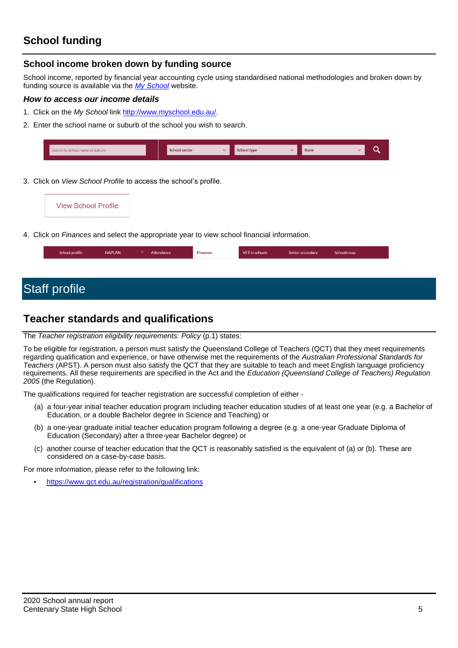# **School funding**

### **School income broken down by funding source**

School income, reported by financial year accounting cycle using standardised national methodologies and broken down by funding source is available via the *[My School](http://www.myschool.edu.au/)* website.

### *How to access our income details*

- 1. Click on the *My School* link [http://www.myschool.edu.au/.](http://www.myschool.edu.au/)
- 2. Enter the school name or suburb of the school you wish to search.

| Search by school name or suburb | <b>School sector</b> | $\overline{\phantom{a}}$ | <b>School type</b> | <b>State</b> |  |  |
|---------------------------------|----------------------|--------------------------|--------------------|--------------|--|--|
|                                 |                      |                          |                    |              |  |  |

3. Click on *View School Profile* to access the school's profile.



4. Click on *Finances* and select the appropriate year to view school financial information.

| School profile | <b>NAPLAN</b> | $\checkmark$ | Attendance | <b>Finances</b> | VET in schools | Senior secondary | Schools map |
|----------------|---------------|--------------|------------|-----------------|----------------|------------------|-------------|
|                |               |              |            |                 |                |                  |             |

# Staff profile

## **Teacher standards and qualifications**

### The *Teacher registration eligibility requirements: Policy* (p.1) states:

To be eligible for registration, a person must satisfy the Queensland College of Teachers (QCT) that they meet requirements regarding qualification and experience, or have otherwise met the requirements of the *Australian Professional Standards for Teachers* (APST). A person must also satisfy the QCT that they are suitable to teach and meet English language proficiency requirements. All these requirements are specified in the Act and the *Education (Queensland College of Teachers) Regulation 2005* (the Regulation).

The qualifications required for teacher registration are successful completion of either -

- (a) a four-year initial teacher education program including teacher education studies of at least one year (e.g. a Bachelor of Education, or a double Bachelor degree in Science and Teaching) or
- (b) a one-year graduate initial teacher education program following a degree (e.g. a one-year Graduate Diploma of Education (Secondary) after a three-year Bachelor degree) or
- (c) another course of teacher education that the QCT is reasonably satisfied is the equivalent of (a) or (b). These are considered on a case-by-case basis.

For more information, please refer to the following link:

• <https://www.qct.edu.au/registration/qualifications>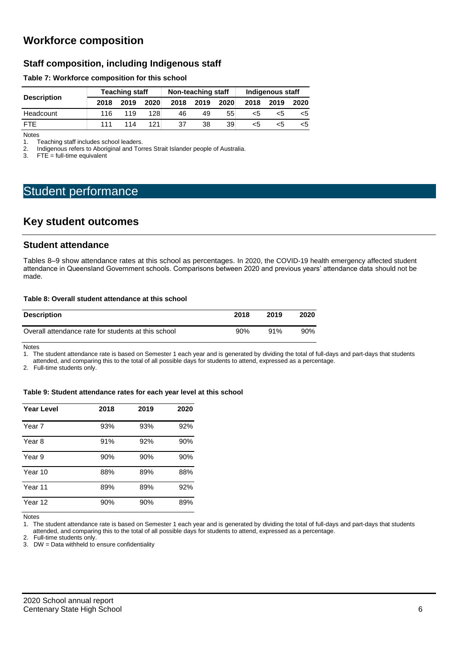# **Workforce composition**

### **Staff composition, including Indigenous staff**

### **Table 7: Workforce composition for this school**

| <b>Description</b> |      | <b>Teaching staff</b> |      |      | Non-teaching staff |      | Indigenous staff |      |      |  |
|--------------------|------|-----------------------|------|------|--------------------|------|------------------|------|------|--|
|                    | 2018 | 2019                  | 2020 | 2018 | 2019               | 2020 | 2018             | 2019 | 2020 |  |
| Headcount          | 116  | 119                   | 128  | 46   | 49                 | 55   | כ>               | ה>   | <5   |  |
| <b>FTE</b>         | 111  | 114                   | 121  | 37   | 38                 | 39   | כ>               | ה>   | <5   |  |

Notes<br>1. T 1. Teaching staff includes school leaders.<br>2. Indigenous refers to Aboriginal and Tor

2. Indigenous refers to Aboriginal and Torres Strait Islander people of Australia.<br>3. FTE = full-time equivalent

 $FTE = full-time equivalent$ 

# Student performance

### **Key student outcomes**

### **Student attendance**

Tables 8–9 show attendance rates at this school as percentages. In 2020, the COVID-19 health emergency affected student attendance in Queensland Government schools. Comparisons between 2020 and previous years' attendance data should not be made.

### **Table 8: Overall student attendance at this school**

| <b>Description</b>                                  | 2018 | 2019   | 2020 |
|-----------------------------------------------------|------|--------|------|
| Overall attendance rate for students at this school | 90%  | $91\%$ | 90%  |

Notes

1. The student attendance rate is based on Semester 1 each year and is generated by dividing the total of full-days and part-days that students attended, and comparing this to the total of all possible days for students to attend, expressed as a percentage.

2. Full-time students only.

### **Table 9: Student attendance rates for each year level at this school**

| <b>Year Level</b> | 2018 | 2019 | 2020 |
|-------------------|------|------|------|
| Year 7            | 93%  | 93%  | 92%  |
| Year 8            | 91%  | 92%  | 90%  |
| Year 9            | 90%  | 90%  | 90%  |
| Year 10           | 88%  | 89%  | 88%  |
| Year 11           | 89%  | 89%  | 92%  |
| Year 12           | 90%  | 90%  | 89%  |

Notes

1. The student attendance rate is based on Semester 1 each year and is generated by dividing the total of full-days and part-days that students attended, and comparing this to the total of all possible days for students to attend, expressed as a percentage.

2. Full-time students only.

3. DW = Data withheld to ensure confidentiality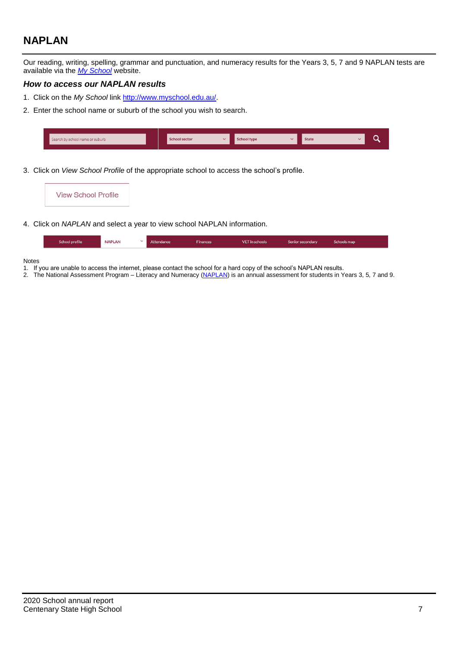# **NAPLAN**

Our reading, writing, spelling, grammar and punctuation, and numeracy results for the Years 3, 5, 7 and 9 NAPLAN tests are available via the *[My School](http://www.myschool.edu.au/)* website.

### *How to access our NAPLAN results*

- 1. Click on the *My School* link [http://www.myschool.edu.au/.](http://www.myschool.edu.au/)
- 2. Enter the school name or suburb of the school you wish to search.

| Search by school name or suburb | <b>School sector</b> | chool type | <b>State</b> |  |
|---------------------------------|----------------------|------------|--------------|--|
|                                 |                      |            |              |  |

3. Click on *View School Profile* of the appropriate school to access the school's profile.

| <b>View School Profile</b> |                                                                                                                                               |
|----------------------------|-----------------------------------------------------------------------------------------------------------------------------------------------|
|                            | $\bigcap$ is the second integral of $\bigcup_{i=1}^{n}$ is the second of $\bigcup_{i=1}^{n}$ in the second integration of $\bigcup_{i=1}^{n}$ |

4. Click on *NAPLAN* and select a year to view school NAPLAN information.

| School profile | <b>NAPLAN</b> | Attendance | <b>Finances</b> | VET in schools | Senior secondary | Schools map |
|----------------|---------------|------------|-----------------|----------------|------------------|-------------|
|                |               |            |                 |                |                  |             |

### Notes

- 1. If you are unable to access the internet, please contact the school for a hard copy of the school's NAPLAN results.
- 2. The National Assessment Program Literacy and Numeracy [\(NAPLAN\)](http://www.nap.edu.au/naplan) is an annual assessment for students in Years 3, 5, 7 and 9.